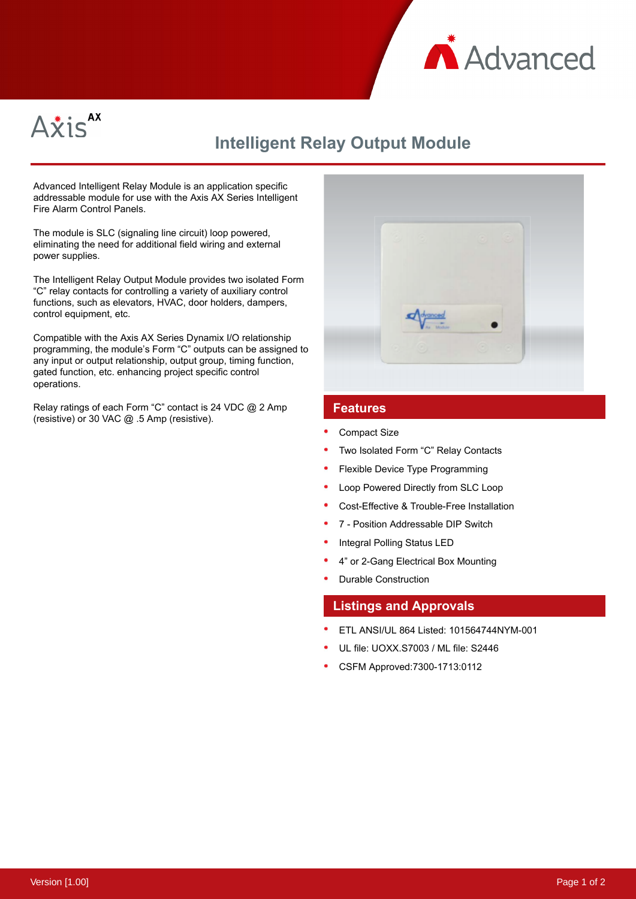



# **Intelligent Relay Output Module**

Advanced Intelligent Relay Module is an application specific addressable module for use with the Axis AX Series Intelligent Fire Alarm Control Panels.

The module is SLC (signaling line circuit) loop powered, eliminating the need for additional field wiring and external power supplies.

The Intelligent Relay Output Module provides two isolated Form "C" relay contacts for controlling a variety of auxiliary control functions, such as elevators, HVAC, door holders, dampers, control equipment, etc.

Compatible with the Axis AX Series Dynamix I/O relationship programming, the module's Form "C" outputs can be assigned to any input or output relationship, output group, timing function, gated function, etc. enhancing project specific control operations.

Relay ratings of each Form "C" contact is 24 VDC @ 2 Amp (resistive) or 30 VAC @ .5 Amp (resistive).



### **Features**

- Compact Size
- Two Isolated Form "C" Relay Contacts
- Flexible Device Type Programming
- Loop Powered Directly from SLC Loop
- Cost-Effective & Trouble-Free Installation
- 7 Position Addressable DIP Switch
- Integral Polling Status LED
- 4" or 2-Gang Electrical Box Mounting
- Durable Construction

#### **Listings and Approvals**

- ETL ANSI/UL 864 Listed: 101564744NYM-001
- UL file: UOXX.S7003 / ML file: S2446
- CSFM Approved:7300-1713:0112